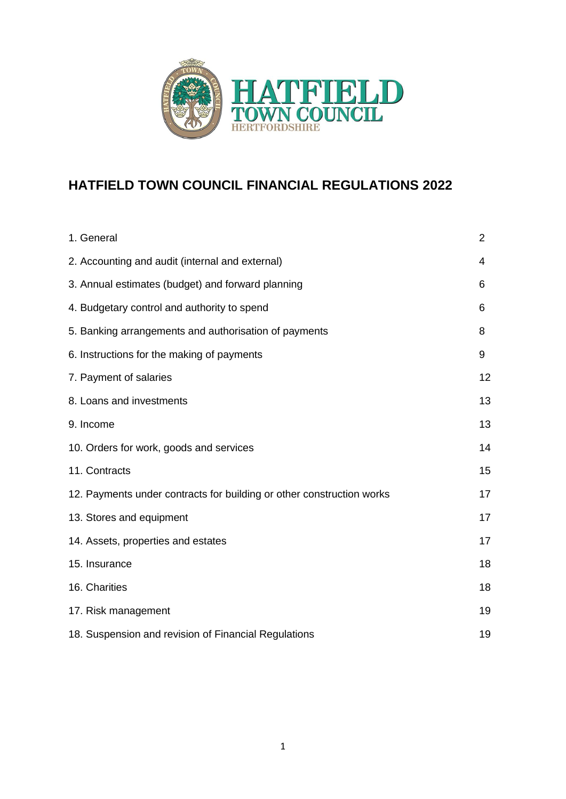

# **HATFIELD TOWN COUNCIL FINANCIAL REGULATIONS 2022**

| 1. General                                                            | $\overline{2}$ |
|-----------------------------------------------------------------------|----------------|
| 2. Accounting and audit (internal and external)                       | 4              |
| 3. Annual estimates (budget) and forward planning                     | 6              |
| 4. Budgetary control and authority to spend                           | 6              |
| 5. Banking arrangements and authorisation of payments                 | 8              |
| 6. Instructions for the making of payments                            | 9              |
| 7. Payment of salaries                                                | 12             |
| 8. Loans and investments                                              | 13             |
| 9. Income                                                             | 13             |
| 10. Orders for work, goods and services                               | 14             |
| 11. Contracts                                                         | 15             |
| 12. Payments under contracts for building or other construction works | 17             |
| 13. Stores and equipment                                              | 17             |
| 14. Assets, properties and estates                                    | 17             |
| 15. Insurance                                                         | 18             |
| 16. Charities                                                         | 18             |
| 17. Risk management                                                   | 19             |
| 18. Suspension and revision of Financial Regulations                  | 19             |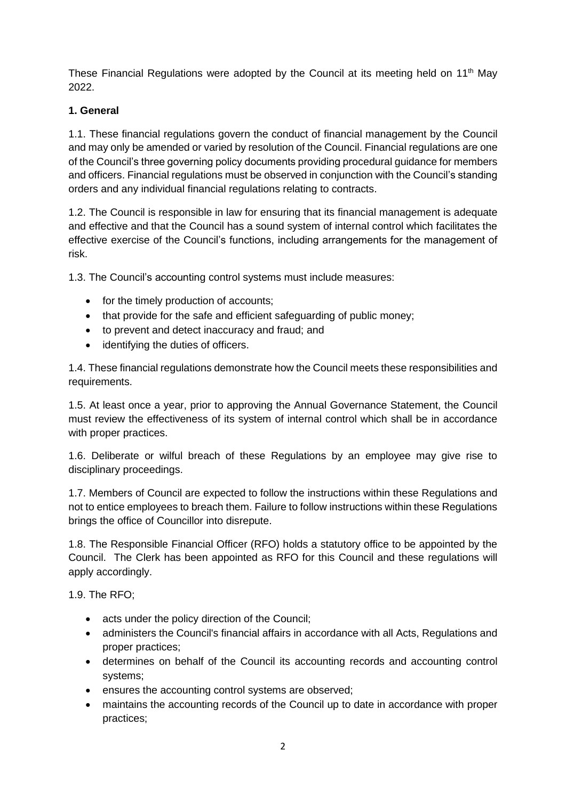These Financial Regulations were adopted by the Council at its meeting held on 11<sup>th</sup> May 2022.

# **1. General**

1.1. These financial regulations govern the conduct of financial management by the Council and may only be amended or varied by resolution of the Council. Financial regulations are one of the Council's three governing policy documents providing procedural guidance for members and officers. Financial regulations must be observed in conjunction with the Council's standing orders and any individual financial regulations relating to contracts.

1.2. The Council is responsible in law for ensuring that its financial management is adequate and effective and that the Council has a sound system of internal control which facilitates the effective exercise of the Council's functions, including arrangements for the management of risk.

1.3. The Council's accounting control systems must include measures:

- for the timely production of accounts;
- that provide for the safe and efficient safeguarding of public money;
- to prevent and detect inaccuracy and fraud; and
- identifying the duties of officers.

1.4. These financial regulations demonstrate how the Council meets these responsibilities and requirements.

1.5. At least once a year, prior to approving the Annual Governance Statement, the Council must review the effectiveness of its system of internal control which shall be in accordance with proper practices.

1.6. Deliberate or wilful breach of these Regulations by an employee may give rise to disciplinary proceedings.

1.7. Members of Council are expected to follow the instructions within these Regulations and not to entice employees to breach them. Failure to follow instructions within these Regulations brings the office of Councillor into disrepute.

1.8. The Responsible Financial Officer (RFO) holds a statutory office to be appointed by the Council. The Clerk has been appointed as RFO for this Council and these regulations will apply accordingly.

1.9. The RFO;

- acts under the policy direction of the Council;
- administers the Council's financial affairs in accordance with all Acts, Regulations and proper practices;
- determines on behalf of the Council its accounting records and accounting control systems;
- ensures the accounting control systems are observed;
- maintains the accounting records of the Council up to date in accordance with proper practices;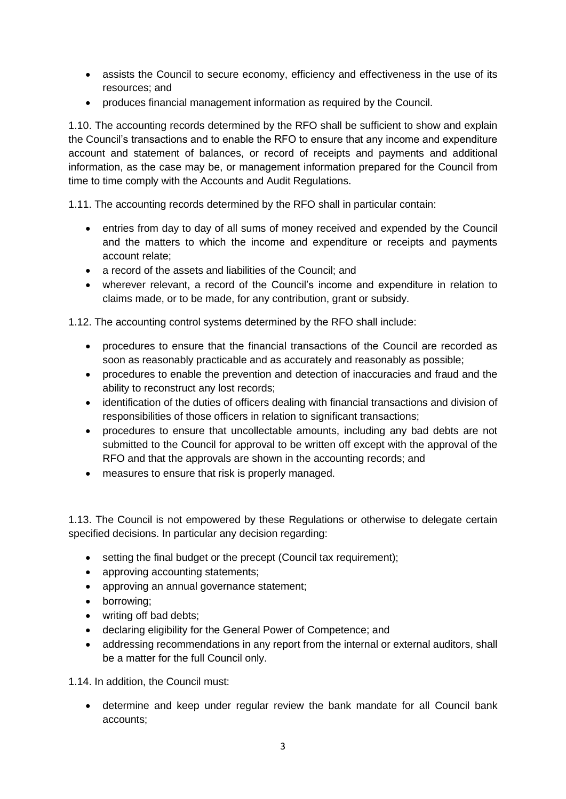- assists the Council to secure economy, efficiency and effectiveness in the use of its resources; and
- produces financial management information as required by the Council.

1.10. The accounting records determined by the RFO shall be sufficient to show and explain the Council's transactions and to enable the RFO to ensure that any income and expenditure account and statement of balances, or record of receipts and payments and additional information, as the case may be, or management information prepared for the Council from time to time comply with the Accounts and Audit Regulations.

1.11. The accounting records determined by the RFO shall in particular contain:

- entries from day to day of all sums of money received and expended by the Council and the matters to which the income and expenditure or receipts and payments account relate;
- a record of the assets and liabilities of the Council; and
- wherever relevant, a record of the Council's income and expenditure in relation to claims made, or to be made, for any contribution, grant or subsidy.

1.12. The accounting control systems determined by the RFO shall include:

- procedures to ensure that the financial transactions of the Council are recorded as soon as reasonably practicable and as accurately and reasonably as possible;
- procedures to enable the prevention and detection of inaccuracies and fraud and the ability to reconstruct any lost records;
- identification of the duties of officers dealing with financial transactions and division of responsibilities of those officers in relation to significant transactions;
- procedures to ensure that uncollectable amounts, including any bad debts are not submitted to the Council for approval to be written off except with the approval of the RFO and that the approvals are shown in the accounting records; and
- measures to ensure that risk is properly managed.

1.13. The Council is not empowered by these Regulations or otherwise to delegate certain specified decisions. In particular any decision regarding:

- setting the final budget or the precept (Council tax requirement);
- approving accounting statements;
- approving an annual governance statement;
- borrowing;
- writing off bad debts;
- declaring eligibility for the General Power of Competence; and
- addressing recommendations in any report from the internal or external auditors, shall be a matter for the full Council only.

1.14. In addition, the Council must:

• determine and keep under regular review the bank mandate for all Council bank accounts;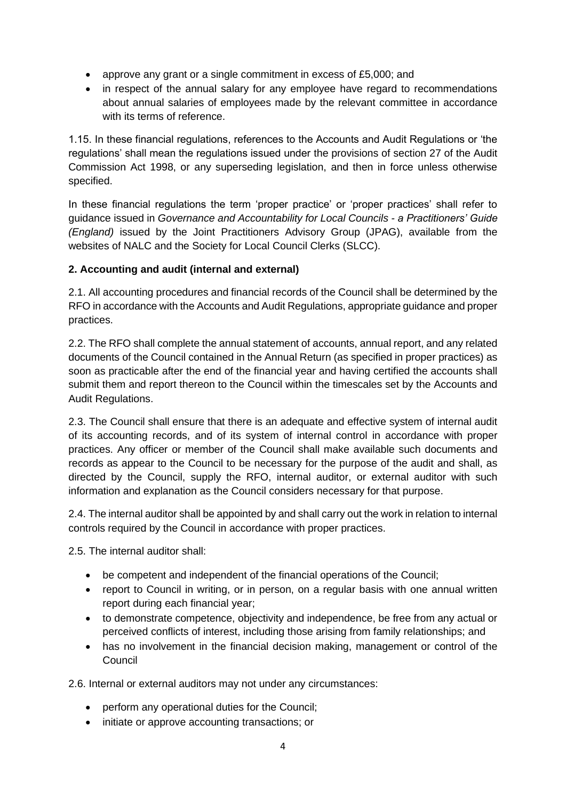- approve any grant or a single commitment in excess of £5,000; and
- in respect of the annual salary for any employee have regard to recommendations about annual salaries of employees made by the relevant committee in accordance with its terms of reference.

1.15. In these financial regulations, references to the Accounts and Audit Regulations or 'the regulations' shall mean the regulations issued under the provisions of section 27 of the Audit Commission Act 1998, or any superseding legislation, and then in force unless otherwise specified.

In these financial regulations the term 'proper practice' or 'proper practices' shall refer to guidance issued in *Governance and Accountability for Local Councils - a Practitioners' Guide (England)* issued by the Joint Practitioners Advisory Group (JPAG), available from the websites of NALC and the Society for Local Council Clerks (SLCC).

# **2. Accounting and audit (internal and external)**

2.1. All accounting procedures and financial records of the Council shall be determined by the RFO in accordance with the Accounts and Audit Regulations, appropriate guidance and proper practices.

2.2. The RFO shall complete the annual statement of accounts, annual report, and any related documents of the Council contained in the Annual Return (as specified in proper practices) as soon as practicable after the end of the financial year and having certified the accounts shall submit them and report thereon to the Council within the timescales set by the Accounts and Audit Regulations.

2.3. The Council shall ensure that there is an adequate and effective system of internal audit of its accounting records, and of its system of internal control in accordance with proper practices. Any officer or member of the Council shall make available such documents and records as appear to the Council to be necessary for the purpose of the audit and shall, as directed by the Council, supply the RFO, internal auditor, or external auditor with such information and explanation as the Council considers necessary for that purpose.

2.4. The internal auditor shall be appointed by and shall carry out the work in relation to internal controls required by the Council in accordance with proper practices.

2.5. The internal auditor shall:

- be competent and independent of the financial operations of the Council;
- report to Council in writing, or in person, on a regular basis with one annual written report during each financial year;
- to demonstrate competence, objectivity and independence, be free from any actual or perceived conflicts of interest, including those arising from family relationships; and
- has no involvement in the financial decision making, management or control of the **Council**

2.6. Internal or external auditors may not under any circumstances:

- perform any operational duties for the Council;
- initiate or approve accounting transactions; or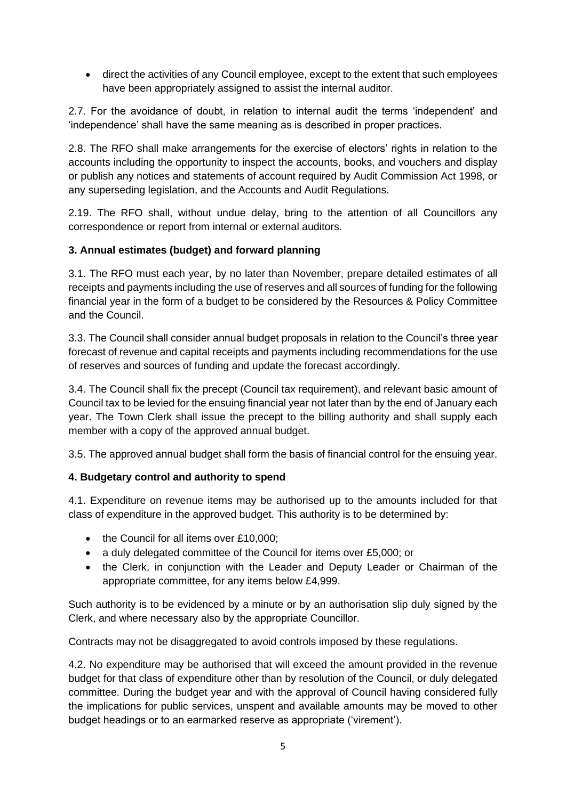• direct the activities of any Council employee, except to the extent that such employees have been appropriately assigned to assist the internal auditor.

2.7. For the avoidance of doubt, in relation to internal audit the terms 'independent' and 'independence' shall have the same meaning as is described in proper practices.

2.8. The RFO shall make arrangements for the exercise of electors' rights in relation to the accounts including the opportunity to inspect the accounts, books, and vouchers and display or publish any notices and statements of account required by Audit Commission Act 1998, or any superseding legislation, and the Accounts and Audit Regulations.

2.19. The RFO shall, without undue delay, bring to the attention of all Councillors any correspondence or report from internal or external auditors.

## **3. Annual estimates (budget) and forward planning**

3.1. The RFO must each year, by no later than November, prepare detailed estimates of all receipts and payments including the use of reserves and all sources of funding for the following financial year in the form of a budget to be considered by the Resources & Policy Committee and the Council.

3.3. The Council shall consider annual budget proposals in relation to the Council's three year forecast of revenue and capital receipts and payments including recommendations for the use of reserves and sources of funding and update the forecast accordingly.

3.4. The Council shall fix the precept (Council tax requirement), and relevant basic amount of Council tax to be levied for the ensuing financial year not later than by the end of January each year. The Town Clerk shall issue the precept to the billing authority and shall supply each member with a copy of the approved annual budget.

3.5. The approved annual budget shall form the basis of financial control for the ensuing year.

## **4. Budgetary control and authority to spend**

4.1. Expenditure on revenue items may be authorised up to the amounts included for that class of expenditure in the approved budget. This authority is to be determined by:

- the Council for all items over £10,000;
- a duly delegated committee of the Council for items over £5,000; or
- the Clerk, in conjunction with the Leader and Deputy Leader or Chairman of the appropriate committee, for any items below £4,999.

Such authority is to be evidenced by a minute or by an authorisation slip duly signed by the Clerk, and where necessary also by the appropriate Councillor.

Contracts may not be disaggregated to avoid controls imposed by these regulations.

4.2. No expenditure may be authorised that will exceed the amount provided in the revenue budget for that class of expenditure other than by resolution of the Council, or duly delegated committee. During the budget year and with the approval of Council having considered fully the implications for public services, unspent and available amounts may be moved to other budget headings or to an earmarked reserve as appropriate ('virement').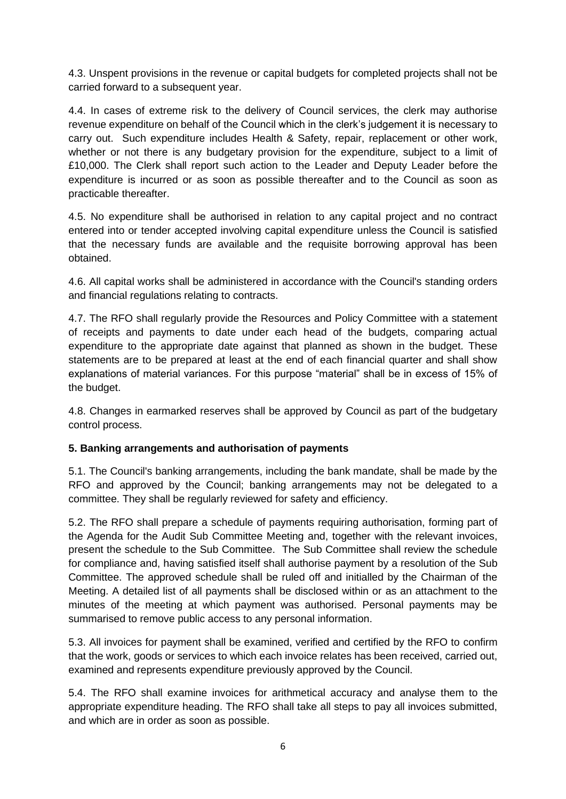4.3. Unspent provisions in the revenue or capital budgets for completed projects shall not be carried forward to a subsequent year.

4.4. In cases of extreme risk to the delivery of Council services, the clerk may authorise revenue expenditure on behalf of the Council which in the clerk's judgement it is necessary to carry out. Such expenditure includes Health & Safety, repair, replacement or other work, whether or not there is any budgetary provision for the expenditure, subject to a limit of £10,000. The Clerk shall report such action to the Leader and Deputy Leader before the expenditure is incurred or as soon as possible thereafter and to the Council as soon as practicable thereafter.

4.5. No expenditure shall be authorised in relation to any capital project and no contract entered into or tender accepted involving capital expenditure unless the Council is satisfied that the necessary funds are available and the requisite borrowing approval has been obtained.

4.6. All capital works shall be administered in accordance with the Council's standing orders and financial regulations relating to contracts.

4.7. The RFO shall regularly provide the Resources and Policy Committee with a statement of receipts and payments to date under each head of the budgets, comparing actual expenditure to the appropriate date against that planned as shown in the budget. These statements are to be prepared at least at the end of each financial quarter and shall show explanations of material variances. For this purpose "material" shall be in excess of 15% of the budget.

4.8. Changes in earmarked reserves shall be approved by Council as part of the budgetary control process.

## **5. Banking arrangements and authorisation of payments**

5.1. The Council's banking arrangements, including the bank mandate, shall be made by the RFO and approved by the Council; banking arrangements may not be delegated to a committee. They shall be regularly reviewed for safety and efficiency.

5.2. The RFO shall prepare a schedule of payments requiring authorisation, forming part of the Agenda for the Audit Sub Committee Meeting and, together with the relevant invoices, present the schedule to the Sub Committee. The Sub Committee shall review the schedule for compliance and, having satisfied itself shall authorise payment by a resolution of the Sub Committee. The approved schedule shall be ruled off and initialled by the Chairman of the Meeting. A detailed list of all payments shall be disclosed within or as an attachment to the minutes of the meeting at which payment was authorised. Personal payments may be summarised to remove public access to any personal information.

5.3. All invoices for payment shall be examined, verified and certified by the RFO to confirm that the work, goods or services to which each invoice relates has been received, carried out, examined and represents expenditure previously approved by the Council.

5.4. The RFO shall examine invoices for arithmetical accuracy and analyse them to the appropriate expenditure heading. The RFO shall take all steps to pay all invoices submitted, and which are in order as soon as possible.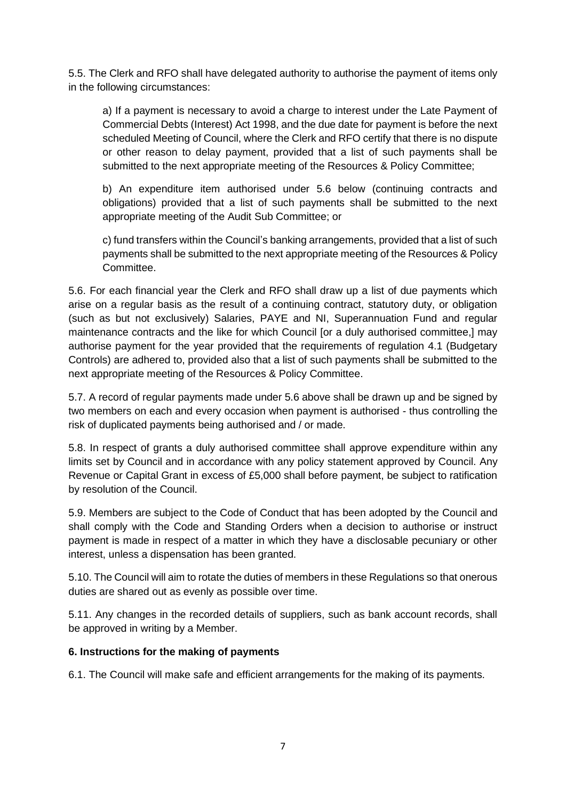5.5. The Clerk and RFO shall have delegated authority to authorise the payment of items only in the following circumstances:

a) If a payment is necessary to avoid a charge to interest under the Late Payment of Commercial Debts (Interest) Act 1998, and the due date for payment is before the next scheduled Meeting of Council, where the Clerk and RFO certify that there is no dispute or other reason to delay payment, provided that a list of such payments shall be submitted to the next appropriate meeting of the Resources & Policy Committee;

b) An expenditure item authorised under 5.6 below (continuing contracts and obligations) provided that a list of such payments shall be submitted to the next appropriate meeting of the Audit Sub Committee; or

c) fund transfers within the Council's banking arrangements, provided that a list of such payments shall be submitted to the next appropriate meeting of the Resources & Policy **Committee.** 

5.6. For each financial year the Clerk and RFO shall draw up a list of due payments which arise on a regular basis as the result of a continuing contract, statutory duty, or obligation (such as but not exclusively) Salaries, PAYE and NI, Superannuation Fund and regular maintenance contracts and the like for which Council [or a duly authorised committee,] may authorise payment for the year provided that the requirements of regulation 4.1 (Budgetary Controls) are adhered to, provided also that a list of such payments shall be submitted to the next appropriate meeting of the Resources & Policy Committee.

5.7. A record of regular payments made under 5.6 above shall be drawn up and be signed by two members on each and every occasion when payment is authorised - thus controlling the risk of duplicated payments being authorised and / or made.

5.8. In respect of grants a duly authorised committee shall approve expenditure within any limits set by Council and in accordance with any policy statement approved by Council. Any Revenue or Capital Grant in excess of £5,000 shall before payment, be subject to ratification by resolution of the Council.

5.9. Members are subject to the Code of Conduct that has been adopted by the Council and shall comply with the Code and Standing Orders when a decision to authorise or instruct payment is made in respect of a matter in which they have a disclosable pecuniary or other interest, unless a dispensation has been granted.

5.10. The Council will aim to rotate the duties of members in these Regulations so that onerous duties are shared out as evenly as possible over time.

5.11. Any changes in the recorded details of suppliers, such as bank account records, shall be approved in writing by a Member.

## **6. Instructions for the making of payments**

6.1. The Council will make safe and efficient arrangements for the making of its payments.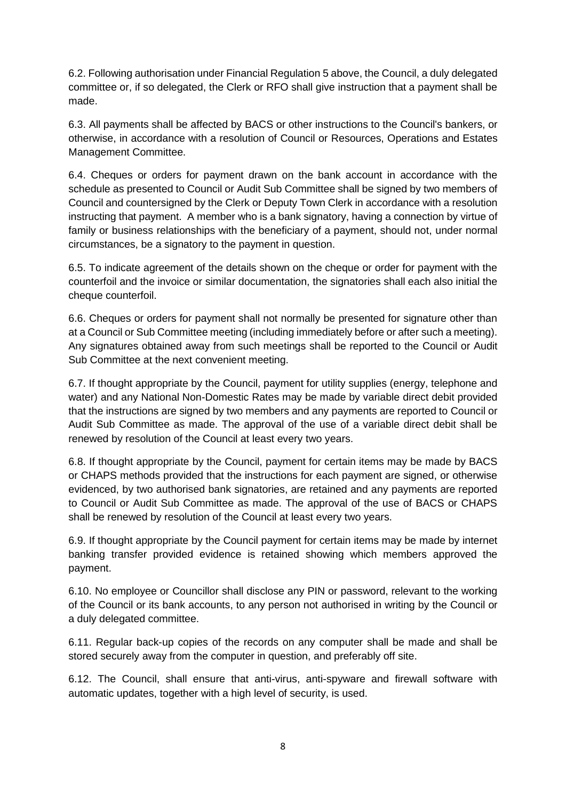6.2. Following authorisation under Financial Regulation 5 above, the Council, a duly delegated committee or, if so delegated, the Clerk or RFO shall give instruction that a payment shall be made.

6.3. All payments shall be affected by BACS or other instructions to the Council's bankers, or otherwise, in accordance with a resolution of Council or Resources, Operations and Estates Management Committee.

6.4. Cheques or orders for payment drawn on the bank account in accordance with the schedule as presented to Council or Audit Sub Committee shall be signed by two members of Council and countersigned by the Clerk or Deputy Town Clerk in accordance with a resolution instructing that payment. A member who is a bank signatory, having a connection by virtue of family or business relationships with the beneficiary of a payment, should not, under normal circumstances, be a signatory to the payment in question.

6.5. To indicate agreement of the details shown on the cheque or order for payment with the counterfoil and the invoice or similar documentation, the signatories shall each also initial the cheque counterfoil.

6.6. Cheques or orders for payment shall not normally be presented for signature other than at a Council or Sub Committee meeting (including immediately before or after such a meeting). Any signatures obtained away from such meetings shall be reported to the Council or Audit Sub Committee at the next convenient meeting.

6.7. If thought appropriate by the Council, payment for utility supplies (energy, telephone and water) and any National Non-Domestic Rates may be made by variable direct debit provided that the instructions are signed by two members and any payments are reported to Council or Audit Sub Committee as made. The approval of the use of a variable direct debit shall be renewed by resolution of the Council at least every two years.

6.8. If thought appropriate by the Council, payment for certain items may be made by BACS or CHAPS methods provided that the instructions for each payment are signed, or otherwise evidenced, by two authorised bank signatories, are retained and any payments are reported to Council or Audit Sub Committee as made. The approval of the use of BACS or CHAPS shall be renewed by resolution of the Council at least every two years.

6.9. If thought appropriate by the Council payment for certain items may be made by internet banking transfer provided evidence is retained showing which members approved the payment.

6.10. No employee or Councillor shall disclose any PIN or password, relevant to the working of the Council or its bank accounts, to any person not authorised in writing by the Council or a duly delegated committee.

6.11. Regular back-up copies of the records on any computer shall be made and shall be stored securely away from the computer in question, and preferably off site.

6.12. The Council, shall ensure that anti-virus, anti-spyware and firewall software with automatic updates, together with a high level of security, is used.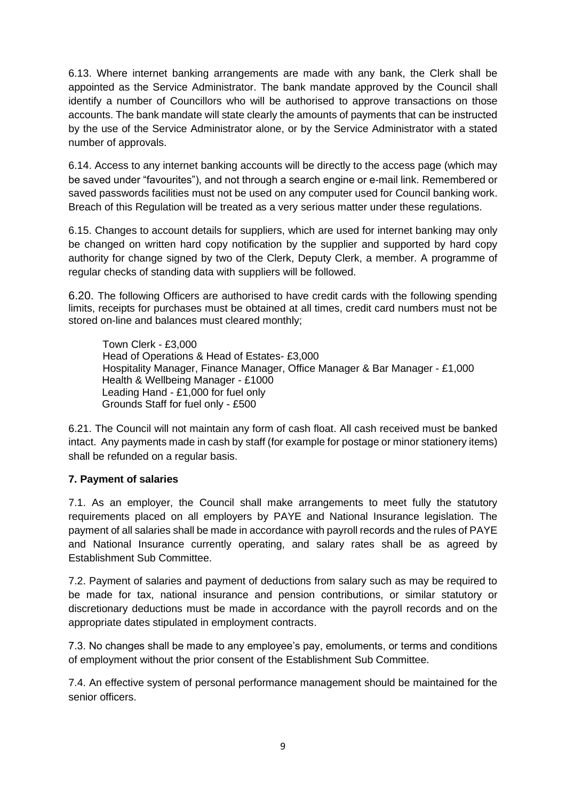6.13. Where internet banking arrangements are made with any bank, the Clerk shall be appointed as the Service Administrator. The bank mandate approved by the Council shall identify a number of Councillors who will be authorised to approve transactions on those accounts. The bank mandate will state clearly the amounts of payments that can be instructed by the use of the Service Administrator alone, or by the Service Administrator with a stated number of approvals.

6.14. Access to any internet banking accounts will be directly to the access page (which may be saved under "favourites"), and not through a search engine or e-mail link. Remembered or saved passwords facilities must not be used on any computer used for Council banking work. Breach of this Regulation will be treated as a very serious matter under these regulations.

6.15. Changes to account details for suppliers, which are used for internet banking may only be changed on written hard copy notification by the supplier and supported by hard copy authority for change signed by two of the Clerk, Deputy Clerk, a member. A programme of regular checks of standing data with suppliers will be followed.

6.20. The following Officers are authorised to have credit cards with the following spending limits, receipts for purchases must be obtained at all times, credit card numbers must not be stored on-line and balances must cleared monthly;

Town Clerk - £3,000 Head of Operations & Head of Estates- £3,000 Hospitality Manager, Finance Manager, Office Manager & Bar Manager - £1,000 Health & Wellbeing Manager - £1000 Leading Hand - £1,000 for fuel only Grounds Staff for fuel only - £500

6.21. The Council will not maintain any form of cash float. All cash received must be banked intact. Any payments made in cash by staff (for example for postage or minor stationery items) shall be refunded on a regular basis.

## **7. Payment of salaries**

7.1. As an employer, the Council shall make arrangements to meet fully the statutory requirements placed on all employers by PAYE and National Insurance legislation. The payment of all salaries shall be made in accordance with payroll records and the rules of PAYE and National Insurance currently operating, and salary rates shall be as agreed by Establishment Sub Committee.

7.2. Payment of salaries and payment of deductions from salary such as may be required to be made for tax, national insurance and pension contributions, or similar statutory or discretionary deductions must be made in accordance with the payroll records and on the appropriate dates stipulated in employment contracts.

7.3. No changes shall be made to any employee's pay, emoluments, or terms and conditions of employment without the prior consent of the Establishment Sub Committee.

7.4. An effective system of personal performance management should be maintained for the senior officers.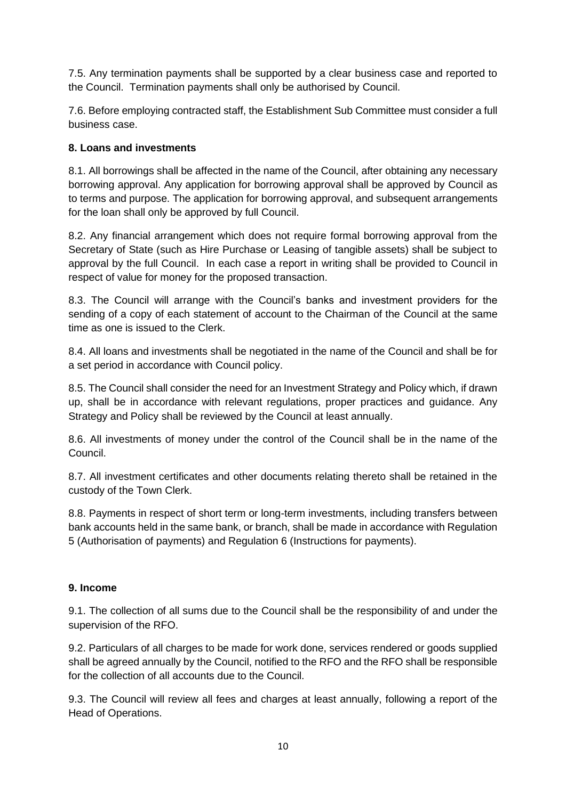7.5. Any termination payments shall be supported by a clear business case and reported to the Council. Termination payments shall only be authorised by Council.

7.6. Before employing contracted staff, the Establishment Sub Committee must consider a full business case.

## **8. Loans and investments**

8.1. All borrowings shall be affected in the name of the Council, after obtaining any necessary borrowing approval. Any application for borrowing approval shall be approved by Council as to terms and purpose. The application for borrowing approval, and subsequent arrangements for the loan shall only be approved by full Council.

8.2. Any financial arrangement which does not require formal borrowing approval from the Secretary of State (such as Hire Purchase or Leasing of tangible assets) shall be subject to approval by the full Council. In each case a report in writing shall be provided to Council in respect of value for money for the proposed transaction.

8.3. The Council will arrange with the Council's banks and investment providers for the sending of a copy of each statement of account to the Chairman of the Council at the same time as one is issued to the Clerk.

8.4. All loans and investments shall be negotiated in the name of the Council and shall be for a set period in accordance with Council policy.

8.5. The Council shall consider the need for an Investment Strategy and Policy which, if drawn up, shall be in accordance with relevant regulations, proper practices and guidance. Any Strategy and Policy shall be reviewed by the Council at least annually.

8.6. All investments of money under the control of the Council shall be in the name of the Council.

8.7. All investment certificates and other documents relating thereto shall be retained in the custody of the Town Clerk.

8.8. Payments in respect of short term or long-term investments, including transfers between bank accounts held in the same bank, or branch, shall be made in accordance with Regulation 5 (Authorisation of payments) and Regulation 6 (Instructions for payments).

## **9. Income**

9.1. The collection of all sums due to the Council shall be the responsibility of and under the supervision of the RFO.

9.2. Particulars of all charges to be made for work done, services rendered or goods supplied shall be agreed annually by the Council, notified to the RFO and the RFO shall be responsible for the collection of all accounts due to the Council.

9.3. The Council will review all fees and charges at least annually, following a report of the Head of Operations.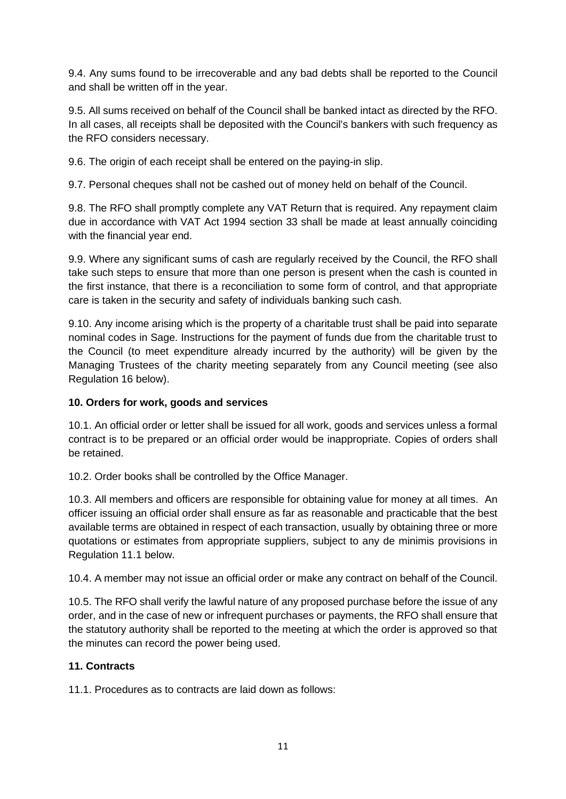9.4. Any sums found to be irrecoverable and any bad debts shall be reported to the Council and shall be written off in the year.

9.5. All sums received on behalf of the Council shall be banked intact as directed by the RFO. In all cases, all receipts shall be deposited with the Council's bankers with such frequency as the RFO considers necessary.

9.6. The origin of each receipt shall be entered on the paying-in slip.

9.7. Personal cheques shall not be cashed out of money held on behalf of the Council.

9.8. The RFO shall promptly complete any VAT Return that is required. Any repayment claim due in accordance with VAT Act 1994 section 33 shall be made at least annually coinciding with the financial year end.

9.9. Where any significant sums of cash are regularly received by the Council, the RFO shall take such steps to ensure that more than one person is present when the cash is counted in the first instance, that there is a reconciliation to some form of control, and that appropriate care is taken in the security and safety of individuals banking such cash.

9.10. Any income arising which is the property of a charitable trust shall be paid into separate nominal codes in Sage. Instructions for the payment of funds due from the charitable trust to the Council (to meet expenditure already incurred by the authority) will be given by the Managing Trustees of the charity meeting separately from any Council meeting (see also Regulation 16 below).

#### **10. Orders for work, goods and services**

10.1. An official order or letter shall be issued for all work, goods and services unless a formal contract is to be prepared or an official order would be inappropriate. Copies of orders shall be retained.

10.2. Order books shall be controlled by the Office Manager.

10.3. All members and officers are responsible for obtaining value for money at all times. An officer issuing an official order shall ensure as far as reasonable and practicable that the best available terms are obtained in respect of each transaction, usually by obtaining three or more quotations or estimates from appropriate suppliers, subject to any de minimis provisions in Regulation 11.1 below.

10.4. A member may not issue an official order or make any contract on behalf of the Council.

10.5. The RFO shall verify the lawful nature of any proposed purchase before the issue of any order, and in the case of new or infrequent purchases or payments, the RFO shall ensure that the statutory authority shall be reported to the meeting at which the order is approved so that the minutes can record the power being used.

## **11. Contracts**

11.1. Procedures as to contracts are laid down as follows: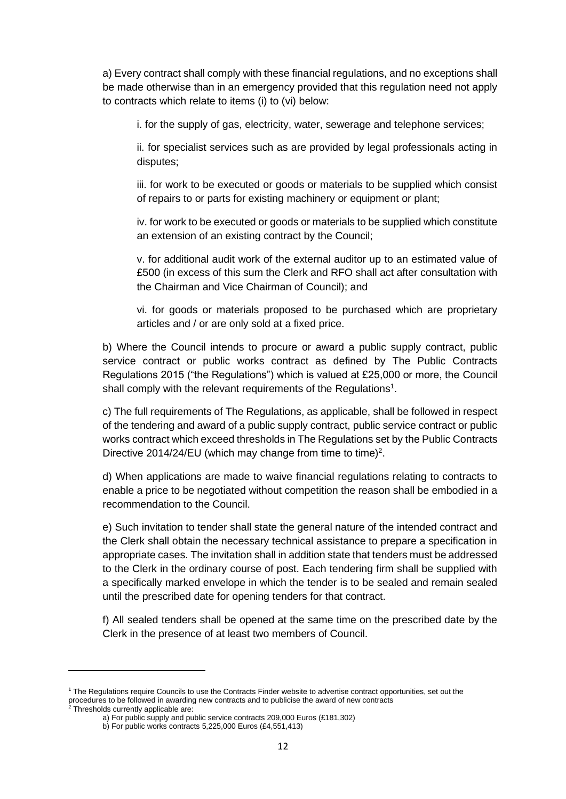a) Every contract shall comply with these financial regulations, and no exceptions shall be made otherwise than in an emergency provided that this regulation need not apply to contracts which relate to items (i) to (vi) below:

i. for the supply of gas, electricity, water, sewerage and telephone services;

ii. for specialist services such as are provided by legal professionals acting in disputes;

iii. for work to be executed or goods or materials to be supplied which consist of repairs to or parts for existing machinery or equipment or plant;

iv. for work to be executed or goods or materials to be supplied which constitute an extension of an existing contract by the Council;

v. for additional audit work of the external auditor up to an estimated value of £500 (in excess of this sum the Clerk and RFO shall act after consultation with the Chairman and Vice Chairman of Council); and

vi. for goods or materials proposed to be purchased which are proprietary articles and / or are only sold at a fixed price.

b) Where the Council intends to procure or award a public supply contract, public service contract or public works contract as defined by The Public Contracts Regulations 2015 ("the Regulations") which is valued at £25,000 or more, the Council shall comply with the relevant requirements of the Regulations<sup>1</sup>.

c) The full requirements of The Regulations, as applicable, shall be followed in respect of the tendering and award of a public supply contract, public service contract or public works contract which exceed thresholds in The Regulations set by the Public Contracts Directive 2014/24/EU (which may change from time to time)<sup>2</sup>.

d) When applications are made to waive financial regulations relating to contracts to enable a price to be negotiated without competition the reason shall be embodied in a recommendation to the Council.

e) Such invitation to tender shall state the general nature of the intended contract and the Clerk shall obtain the necessary technical assistance to prepare a specification in appropriate cases. The invitation shall in addition state that tenders must be addressed to the Clerk in the ordinary course of post. Each tendering firm shall be supplied with a specifically marked envelope in which the tender is to be sealed and remain sealed until the prescribed date for opening tenders for that contract.

f) All sealed tenders shall be opened at the same time on the prescribed date by the Clerk in the presence of at least two members of Council.

<sup>1</sup> The Regulations require Councils to use the Contracts Finder website to advertise contract opportunities, set out the procedures to be followed in awarding new contracts and to publicise the award of new contracts

 $2$  Thresholds currently applicable are:

a) For public supply and public service contracts 209,000 Euros (£181,302)

b) For public works contracts 5,225,000 Euros (£4,551,413)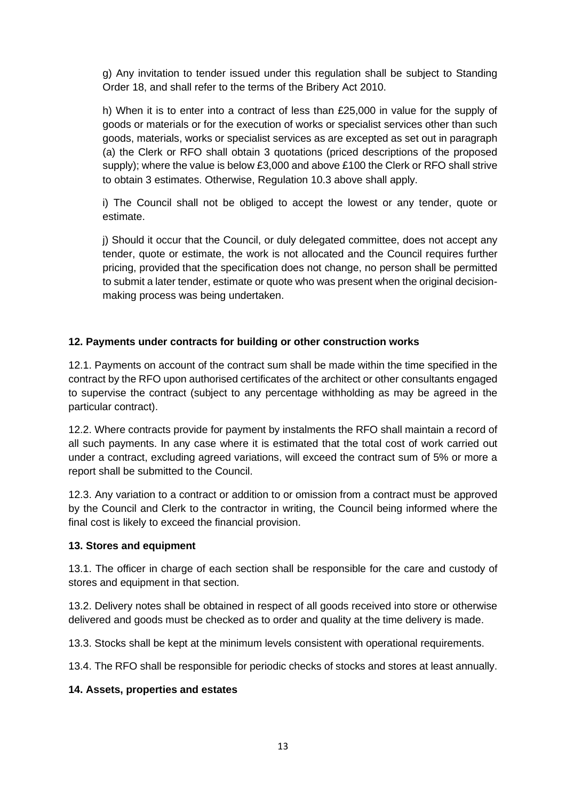g) Any invitation to tender issued under this regulation shall be subject to Standing Order 18, and shall refer to the terms of the Bribery Act 2010.

h) When it is to enter into a contract of less than £25,000 in value for the supply of goods or materials or for the execution of works or specialist services other than such goods, materials, works or specialist services as are excepted as set out in paragraph (a) the Clerk or RFO shall obtain 3 quotations (priced descriptions of the proposed supply); where the value is below £3,000 and above £100 the Clerk or RFO shall strive to obtain 3 estimates. Otherwise, Regulation 10.3 above shall apply.

i) The Council shall not be obliged to accept the lowest or any tender, quote or estimate.

j) Should it occur that the Council, or duly delegated committee, does not accept any tender, quote or estimate, the work is not allocated and the Council requires further pricing, provided that the specification does not change, no person shall be permitted to submit a later tender, estimate or quote who was present when the original decisionmaking process was being undertaken.

## **12. Payments under contracts for building or other construction works**

12.1. Payments on account of the contract sum shall be made within the time specified in the contract by the RFO upon authorised certificates of the architect or other consultants engaged to supervise the contract (subject to any percentage withholding as may be agreed in the particular contract).

12.2. Where contracts provide for payment by instalments the RFO shall maintain a record of all such payments. In any case where it is estimated that the total cost of work carried out under a contract, excluding agreed variations, will exceed the contract sum of 5% or more a report shall be submitted to the Council.

12.3. Any variation to a contract or addition to or omission from a contract must be approved by the Council and Clerk to the contractor in writing, the Council being informed where the final cost is likely to exceed the financial provision.

#### **13. Stores and equipment**

13.1. The officer in charge of each section shall be responsible for the care and custody of stores and equipment in that section.

13.2. Delivery notes shall be obtained in respect of all goods received into store or otherwise delivered and goods must be checked as to order and quality at the time delivery is made.

13.3. Stocks shall be kept at the minimum levels consistent with operational requirements.

13.4. The RFO shall be responsible for periodic checks of stocks and stores at least annually.

#### **14. Assets, properties and estates**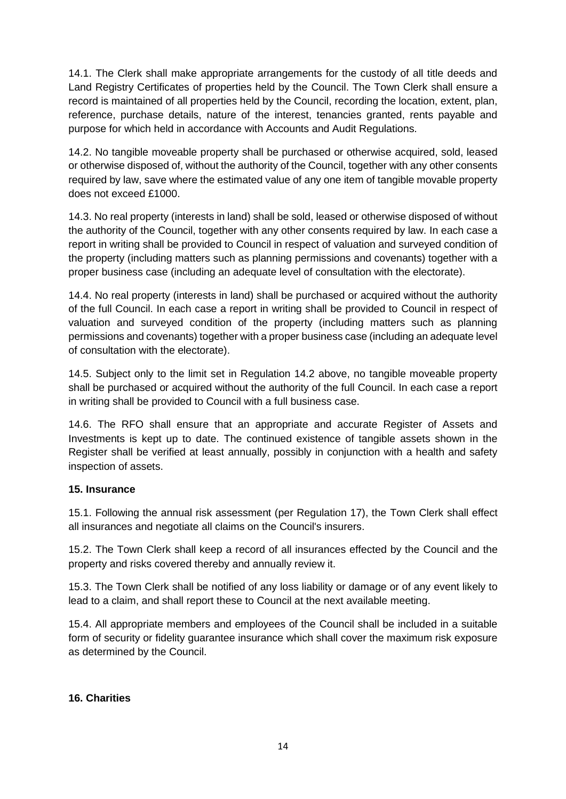14.1. The Clerk shall make appropriate arrangements for the custody of all title deeds and Land Registry Certificates of properties held by the Council. The Town Clerk shall ensure a record is maintained of all properties held by the Council, recording the location, extent, plan, reference, purchase details, nature of the interest, tenancies granted, rents payable and purpose for which held in accordance with Accounts and Audit Regulations.

14.2. No tangible moveable property shall be purchased or otherwise acquired, sold, leased or otherwise disposed of, without the authority of the Council, together with any other consents required by law, save where the estimated value of any one item of tangible movable property does not exceed £1000.

14.3. No real property (interests in land) shall be sold, leased or otherwise disposed of without the authority of the Council, together with any other consents required by law. In each case a report in writing shall be provided to Council in respect of valuation and surveyed condition of the property (including matters such as planning permissions and covenants) together with a proper business case (including an adequate level of consultation with the electorate).

14.4. No real property (interests in land) shall be purchased or acquired without the authority of the full Council. In each case a report in writing shall be provided to Council in respect of valuation and surveyed condition of the property (including matters such as planning permissions and covenants) together with a proper business case (including an adequate level of consultation with the electorate).

14.5. Subject only to the limit set in Regulation 14.2 above, no tangible moveable property shall be purchased or acquired without the authority of the full Council. In each case a report in writing shall be provided to Council with a full business case.

14.6. The RFO shall ensure that an appropriate and accurate Register of Assets and Investments is kept up to date. The continued existence of tangible assets shown in the Register shall be verified at least annually, possibly in conjunction with a health and safety inspection of assets.

## **15. Insurance**

15.1. Following the annual risk assessment (per Regulation 17), the Town Clerk shall effect all insurances and negotiate all claims on the Council's insurers.

15.2. The Town Clerk shall keep a record of all insurances effected by the Council and the property and risks covered thereby and annually review it.

15.3. The Town Clerk shall be notified of any loss liability or damage or of any event likely to lead to a claim, and shall report these to Council at the next available meeting.

15.4. All appropriate members and employees of the Council shall be included in a suitable form of security or fidelity guarantee insurance which shall cover the maximum risk exposure as determined by the Council.

## **16. Charities**